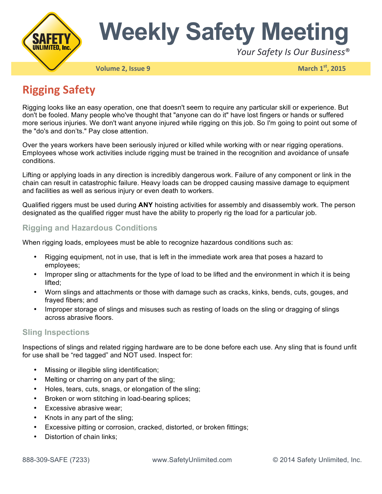

# **Weekly Safety Meeting**

Your Safety Is Our Business<sup>®</sup>

**Volume 2, Issue 9 March 1st, 2015** 

## **Rigging Safety**

Rigging looks like an easy operation, one that doesn't seem to require any particular skill or experience. But don't be fooled. Many people who've thought that "anyone can do it" have lost fingers or hands or suffered more serious injuries. We don't want anyone injured while rigging on this job. So I'm going to point out some of the "do's and don'ts." Pay close attention.

Over the years workers have been seriously injured or killed while working with or near rigging operations. Employees whose work activities include rigging must be trained in the recognition and avoidance of unsafe conditions.

Lifting or applying loads in any direction is incredibly dangerous work. Failure of any component or link in the chain can result in catastrophic failure. Heavy loads can be dropped causing massive damage to equipment and facilities as well as serious injury or even death to workers.

Qualified riggers must be used during **ANY** hoisting activities for assembly and disassembly work. The person designated as the qualified rigger must have the ability to properly rig the load for a particular job.

#### **Rigging and Hazardous Conditions**

When rigging loads, employees must be able to recognize hazardous conditions such as:

- Rigging equipment, not in use, that is left in the immediate work area that poses a hazard to employees;
- Improper sling or attachments for the type of load to be lifted and the environment in which it is being lifted;
- Worn slings and attachments or those with damage such as cracks, kinks, bends, cuts, gouges, and frayed fibers; and
- Improper storage of slings and misuses such as resting of loads on the sling or dragging of slings across abrasive floors.

#### **Sling Inspections**

Inspections of slings and related rigging hardware are to be done before each use. Any sling that is found unfit for use shall be "red tagged" and NOT used. Inspect for:

- Missing or illegible sling identification;
- Melting or charring on any part of the sling;
- Holes, tears, cuts, snags, or elongation of the sling;
- Broken or worn stitching in load-bearing splices;
- Excessive abrasive wear;
- Knots in any part of the sling;
- Excessive pitting or corrosion, cracked, distorted, or broken fittings;
- Distortion of chain links: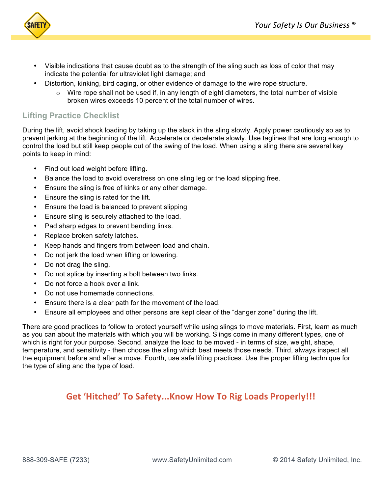

- Visible indications that cause doubt as to the strength of the sling such as loss of color that may indicate the potential for ultraviolet light damage; and
- Distortion, kinking, bird caging, or other evidence of damage to the wire rope structure.
	- $\circ$  Wire rope shall not be used if, in any length of eight diameters, the total number of visible broken wires exceeds 10 percent of the total number of wires.

#### **Lifting Practice Checklist**

During the lift, avoid shock loading by taking up the slack in the sling slowly. Apply power cautiously so as to prevent jerking at the beginning of the lift. Accelerate or decelerate slowly. Use taglines that are long enough to control the load but still keep people out of the swing of the load. When using a sling there are several key points to keep in mind:

- Find out load weight before lifting.
- Balance the load to avoid overstress on one sling leg or the load slipping free.
- Ensure the sling is free of kinks or any other damage.
- Ensure the sling is rated for the lift.
- Ensure the load is balanced to prevent slipping
- Ensure sling is securely attached to the load.
- Pad sharp edges to prevent bending links.
- Replace broken safety latches.
- Keep hands and fingers from between load and chain.
- Do not jerk the load when lifting or lowering.
- Do not drag the sling.
- Do not splice by inserting a bolt between two links.
- Do not force a hook over a link.
- Do not use homemade connections.
- Ensure there is a clear path for the movement of the load.
- Ensure all employees and other persons are kept clear of the "danger zone" during the lift.

There are good practices to follow to protect yourself while using slings to move materials. First, learn as much as you can about the materials with which you will be working. Slings come in many different types, one of which is right for your purpose. Second, analyze the load to be moved - in terms of size, weight, shape, temperature, and sensitivity - then choose the sling which best meets those needs. Third, always inspect all the equipment before and after a move. Fourth, use safe lifting practices. Use the proper lifting technique for the type of sling and the type of load.

### **Get 'Hitched' To Safety...Know How To Rig Loads Properly!!!**